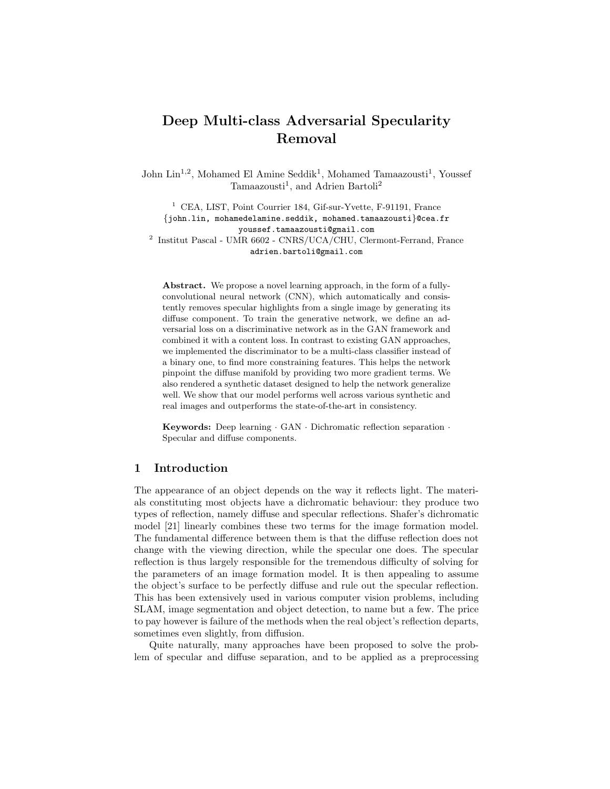# Deep Multi-class Adversarial Specularity Removal

John Lin<sup>1,2</sup>, Mohamed El Amine Seddik<sup>1</sup>, Mohamed Tamaazousti<sup>1</sup>, Youssef Tamaazousti<sup>1</sup>, and Adrien Bartoli<sup>2</sup>

<sup>1</sup> CEA, LIST, Point Courrier 184, Gif-sur-Yvette, F-91191, France {john.lin, mohamedelamine.seddik, mohamed.tamaazousti}@cea.fr youssef.tamaazousti@gmail.com 2 Institut Pascal - UMR 6602 - CNRS/UCA/CHU, Clermont-Ferrand, France

adrien.bartoli@gmail.com

Abstract. We propose a novel learning approach, in the form of a fullyconvolutional neural network (CNN), which automatically and consistently removes specular highlights from a single image by generating its diffuse component. To train the generative network, we define an adversarial loss on a discriminative network as in the GAN framework and combined it with a content loss. In contrast to existing GAN approaches, we implemented the discriminator to be a multi-class classifier instead of a binary one, to find more constraining features. This helps the network pinpoint the diffuse manifold by providing two more gradient terms. We also rendered a synthetic dataset designed to help the network generalize well. We show that our model performs well across various synthetic and real images and outperforms the state-of-the-art in consistency.

Keywords: Deep learning · GAN · Dichromatic reflection separation · Specular and diffuse components.

# 1 Introduction

The appearance of an object depends on the way it reflects light. The materials constituting most objects have a dichromatic behaviour: they produce two types of reflection, namely diffuse and specular reflections. Shafer's dichromatic model [21] linearly combines these two terms for the image formation model. The fundamental difference between them is that the diffuse reflection does not change with the viewing direction, while the specular one does. The specular reflection is thus largely responsible for the tremendous difficulty of solving for the parameters of an image formation model. It is then appealing to assume the object's surface to be perfectly diffuse and rule out the specular reflection. This has been extensively used in various computer vision problems, including SLAM, image segmentation and object detection, to name but a few. The price to pay however is failure of the methods when the real object's reflection departs, sometimes even slightly, from diffusion.

Quite naturally, many approaches have been proposed to solve the problem of specular and diffuse separation, and to be applied as a preprocessing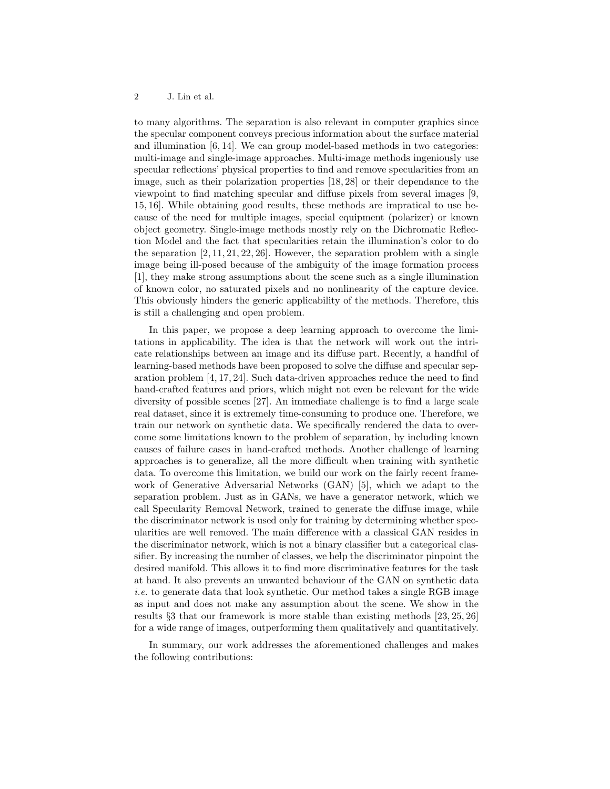#### 2 J. Lin et al.

to many algorithms. The separation is also relevant in computer graphics since the specular component conveys precious information about the surface material and illumination  $[6, 14]$ . We can group model-based methods in two categories: multi-image and single-image approaches. Multi-image methods ingeniously use specular reflections' physical properties to find and remove specularities from an image, such as their polarization properties [18, 28] or their dependance to the viewpoint to find matching specular and diffuse pixels from several images [9, 15, 16]. While obtaining good results, these methods are impratical to use because of the need for multiple images, special equipment (polarizer) or known object geometry. Single-image methods mostly rely on the Dichromatic Reflection Model and the fact that specularities retain the illumination's color to do the separation  $[2, 11, 21, 22, 26]$ . However, the separation problem with a single image being ill-posed because of the ambiguity of the image formation process [1], they make strong assumptions about the scene such as a single illumination of known color, no saturated pixels and no nonlinearity of the capture device. This obviously hinders the generic applicability of the methods. Therefore, this is still a challenging and open problem.

In this paper, we propose a deep learning approach to overcome the limitations in applicability. The idea is that the network will work out the intricate relationships between an image and its diffuse part. Recently, a handful of learning-based methods have been proposed to solve the diffuse and specular separation problem [4, 17, 24]. Such data-driven approaches reduce the need to find hand-crafted features and priors, which might not even be relevant for the wide diversity of possible scenes [27]. An immediate challenge is to find a large scale real dataset, since it is extremely time-consuming to produce one. Therefore, we train our network on synthetic data. We specifically rendered the data to overcome some limitations known to the problem of separation, by including known causes of failure cases in hand-crafted methods. Another challenge of learning approaches is to generalize, all the more difficult when training with synthetic data. To overcome this limitation, we build our work on the fairly recent framework of Generative Adversarial Networks (GAN) [5], which we adapt to the separation problem. Just as in GANs, we have a generator network, which we call Specularity Removal Network, trained to generate the diffuse image, while the discriminator network is used only for training by determining whether specularities are well removed. The main difference with a classical GAN resides in the discriminator network, which is not a binary classifier but a categorical classifier. By increasing the number of classes, we help the discriminator pinpoint the desired manifold. This allows it to find more discriminative features for the task at hand. It also prevents an unwanted behaviour of the GAN on synthetic data i.e. to generate data that look synthetic. Our method takes a single RGB image as input and does not make any assumption about the scene. We show in the results §3 that our framework is more stable than existing methods [23, 25, 26] for a wide range of images, outperforming them qualitatively and quantitatively.

In summary, our work addresses the aforementioned challenges and makes the following contributions: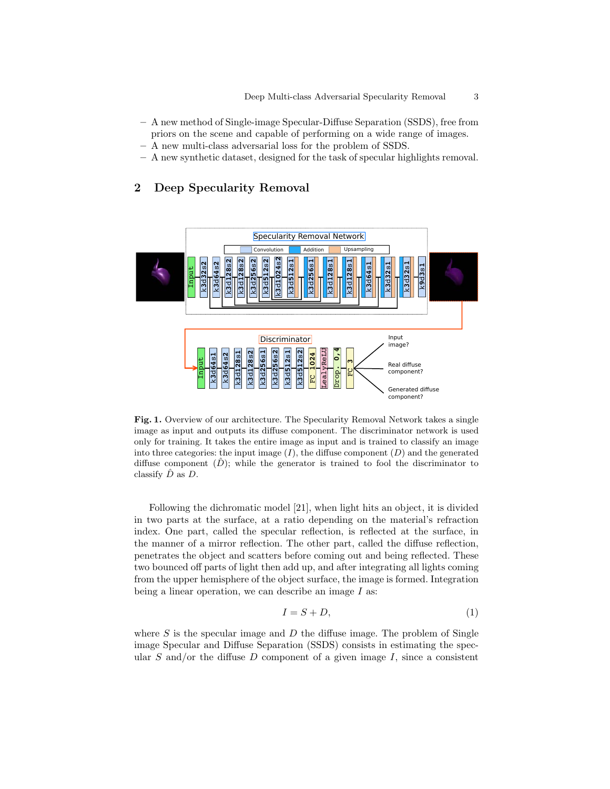- A new method of Single-image Specular-Diffuse Separation (SSDS), free from priors on the scene and capable of performing on a wide range of images.
- A new multi-class adversarial loss for the problem of SSDS.
- A new synthetic dataset, designed for the task of specular highlights removal.

# 2 Deep Specularity Removal



Fig. 1. Overview of our architecture. The Specularity Removal Network takes a single image as input and outputs its diffuse component. The discriminator network is used only for training. It takes the entire image as input and is trained to classify an image into three categories: the input image  $(I)$ , the diffuse component  $(D)$  and the generated diffuse component  $(D)$ ; while the generator is trained to fool the discriminator to classify  $\hat{D}$  as  $D$ .

Following the dichromatic model [21], when light hits an object, it is divided in two parts at the surface, at a ratio depending on the material's refraction index. One part, called the specular reflection, is reflected at the surface, in the manner of a mirror reflection. The other part, called the diffuse reflection, penetrates the object and scatters before coming out and being reflected. These two bounced off parts of light then add up, and after integrating all lights coming from the upper hemisphere of the object surface, the image is formed. Integration being a linear operation, we can describe an image  $I$  as:

$$
I = S + D,\tag{1}
$$

where  $S$  is the specular image and  $D$  the diffuse image. The problem of Single image Specular and Diffuse Separation (SSDS) consists in estimating the specular  $S$  and/or the diffuse  $D$  component of a given image  $I$ , since a consistent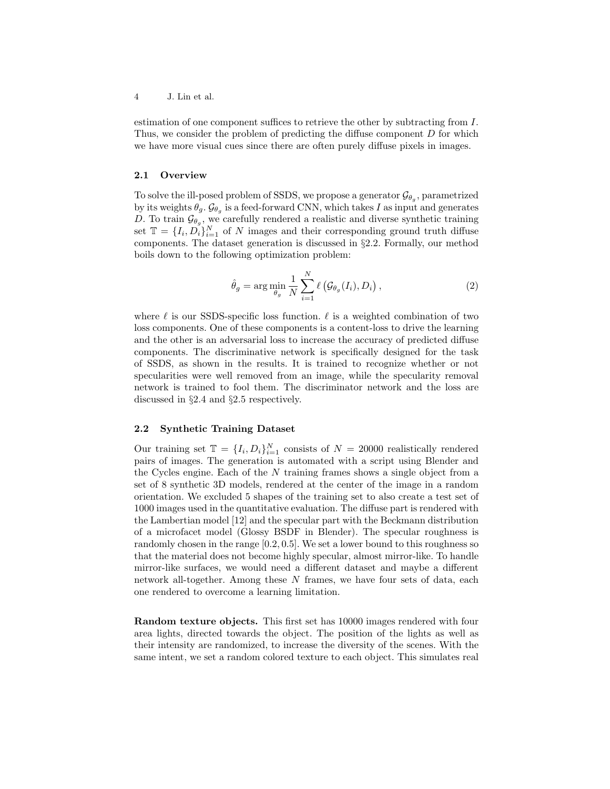estimation of one component suffices to retrieve the other by subtracting from I. Thus, we consider the problem of predicting the diffuse component D for which we have more visual cues since there are often purely diffuse pixels in images.

#### 2.1 Overview

To solve the ill-posed problem of SSDS, we propose a generator  $\mathcal{G}_{\theta_g}$ , parametrized by its weights  $\theta_g$ .  $\mathcal{G}_{\theta_g}$  is a feed-forward CNN, which takes I as input and generates D. To train  $\mathcal{G}_{\theta_g}$ , we carefully rendered a realistic and diverse synthetic training set  $\mathbb{T} = \{I_i, D_i \}_{i=1}^N$  of N images and their corresponding ground truth diffuse components. The dataset generation is discussed in §2.2. Formally, our method boils down to the following optimization problem:

$$
\hat{\theta}_g = \arg\min_{\theta_g} \frac{1}{N} \sum_{i=1}^N \ell\left(\mathcal{G}_{\theta_g}(I_i), D_i\right),\tag{2}
$$

where  $\ell$  is our SSDS-specific loss function.  $\ell$  is a weighted combination of two loss components. One of these components is a content-loss to drive the learning and the other is an adversarial loss to increase the accuracy of predicted diffuse components. The discriminative network is specifically designed for the task of SSDS, as shown in the results. It is trained to recognize whether or not specularities were well removed from an image, while the specularity removal network is trained to fool them. The discriminator network and the loss are discussed in §2.4 and §2.5 respectively.

#### 2.2 Synthetic Training Dataset

Our training set  $\mathbb{T} = \{I_i, D_i\}_{i=1}^N$  consists of  $N = 20000$  realistically rendered pairs of images. The generation is automated with a script using Blender and the Cycles engine. Each of the N training frames shows a single object from a set of 8 synthetic 3D models, rendered at the center of the image in a random orientation. We excluded 5 shapes of the training set to also create a test set of 1000 images used in the quantitative evaluation. The diffuse part is rendered with the Lambertian model [12] and the specular part with the Beckmann distribution of a microfacet model (Glossy BSDF in Blender). The specular roughness is randomly chosen in the range [0.2, 0.5]. We set a lower bound to this roughness so that the material does not become highly specular, almost mirror-like. To handle mirror-like surfaces, we would need a different dataset and maybe a different network all-together. Among these N frames, we have four sets of data, each one rendered to overcome a learning limitation.

Random texture objects. This first set has 10000 images rendered with four area lights, directed towards the object. The position of the lights as well as their intensity are randomized, to increase the diversity of the scenes. With the same intent, we set a random colored texture to each object. This simulates real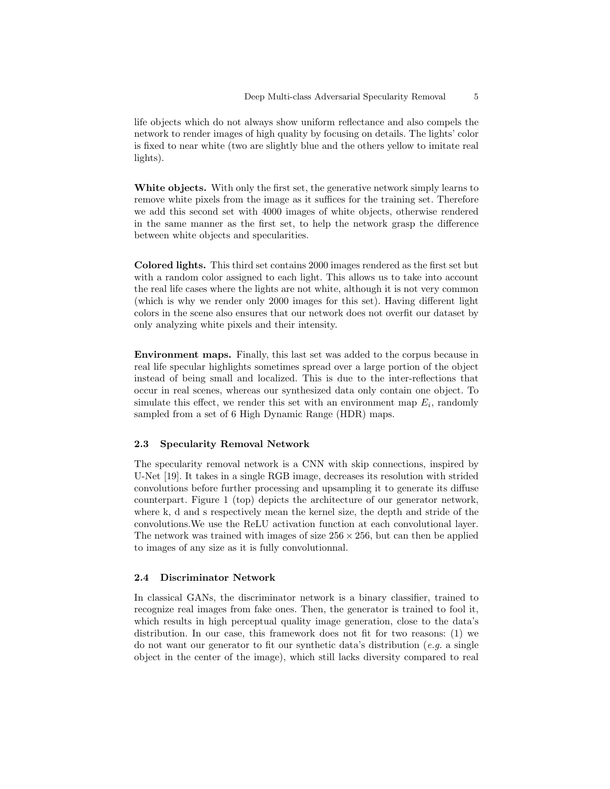life objects which do not always show uniform reflectance and also compels the network to render images of high quality by focusing on details. The lights' color is fixed to near white (two are slightly blue and the others yellow to imitate real lights).

White objects. With only the first set, the generative network simply learns to remove white pixels from the image as it suffices for the training set. Therefore we add this second set with 4000 images of white objects, otherwise rendered in the same manner as the first set, to help the network grasp the difference between white objects and specularities.

Colored lights. This third set contains 2000 images rendered as the first set but with a random color assigned to each light. This allows us to take into account the real life cases where the lights are not white, although it is not very common (which is why we render only 2000 images for this set). Having different light colors in the scene also ensures that our network does not overfit our dataset by only analyzing white pixels and their intensity.

Environment maps. Finally, this last set was added to the corpus because in real life specular highlights sometimes spread over a large portion of the object instead of being small and localized. This is due to the inter-reflections that occur in real scenes, whereas our synthesized data only contain one object. To simulate this effect, we render this set with an environment map  $E_i$ , randomly sampled from a set of 6 High Dynamic Range (HDR) maps.

### 2.3 Specularity Removal Network

The specularity removal network is a CNN with skip connections, inspired by U-Net [19]. It takes in a single RGB image, decreases its resolution with strided convolutions before further processing and upsampling it to generate its diffuse counterpart. Figure 1 (top) depicts the architecture of our generator network, where k, d and s respectively mean the kernel size, the depth and stride of the convolutions.We use the ReLU activation function at each convolutional layer. The network was trained with images of size  $256 \times 256$ , but can then be applied to images of any size as it is fully convolutionnal.

#### 2.4 Discriminator Network

In classical GANs, the discriminator network is a binary classifier, trained to recognize real images from fake ones. Then, the generator is trained to fool it, which results in high perceptual quality image generation, close to the data's distribution. In our case, this framework does not fit for two reasons: (1) we do not want our generator to fit our synthetic data's distribution (e.g. a single object in the center of the image), which still lacks diversity compared to real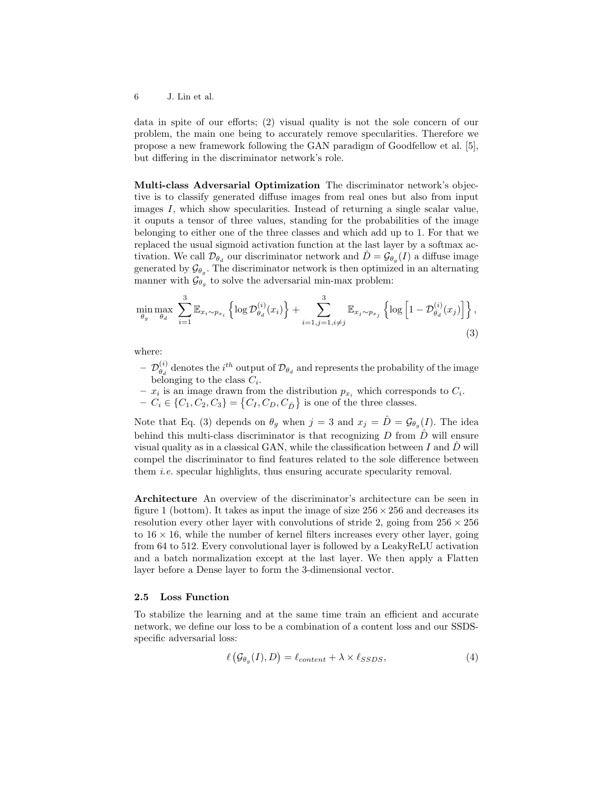6 J. Lin et al.

data in spite of our efforts; (2) visual quality is not the sole concern of our problem, the main one being to accurately remove specularities. Therefore we propose a new framework following the GAN paradigm of Goodfellow et al. [5], but differing in the discriminator network's role.

Multi-class Adversarial Optimization The discriminator network's objective is to classify generated diffuse images from real ones but also from input images I, which show specularities. Instead of returning a single scalar value, it ouputs a tensor of three values, standing for the probabilities of the image belonging to either one of the three classes and which add up to 1. For that we replaced the usual sigmoid activation function at the last layer by a softmax activation. We call  $\mathcal{D}_{\theta_d}$  our discriminator network and  $\hat{D} = \mathcal{G}_{\theta_g}(I)$  a diffuse image generated by  $\mathcal{G}_{\theta_g}$ . The discriminator network is then optimized in an alternating manner with  $\mathcal{G}_{\theta_g}$  to solve the adversarial min-max problem:

$$
\min_{\theta_g} \max_{\theta_d} \sum_{i=1}^3 \mathbb{E}_{x_i \sim p_{x_i}} \left\{ \log \mathcal{D}_{\theta_d}^{(i)}(x_i) \right\} + \sum_{i=1, j=1, i \neq j}^3 \mathbb{E}_{x_j \sim p_{x_j}} \left\{ \log \left[ 1 - \mathcal{D}_{\theta_d}^{(i)}(x_j) \right] \right\},\tag{3}
$$

where:

- $\mathcal{D}_\theta^{(i)}$  $\theta_d^{(i)}$  denotes the *i*<sup>th</sup> output of  $\mathcal{D}_{\theta_d}$  and represents the probability of the image belonging to the class  $C_i$ .
- $x_i$  is an image drawn from the distribution  $p_{x_i}$  which corresponds to  $C_i$ .
- $-C_i \in \{C_1, C_2, C_3\} = \{C_I, C_D, C_{\hat{D}}\}$  is one of the three classes.

Note that Eq. (3) depends on  $\theta_g$  when  $j = 3$  and  $x_j = \hat{D} = \mathcal{G}_{\theta_g}(I)$ . The idea behind this multi-class discriminator is that recognizing  $D$  from  $\hat{D}$  will ensure visual quality as in a classical GAN, while the classification between I and  $\hat{D}$  will compel the discriminator to find features related to the sole difference between them *i.e.* specular highlights, thus ensuring accurate specularity removal.

Architecture An overview of the discriminator's architecture can be seen in figure 1 (bottom). It takes as input the image of size  $256 \times 256$  and decreases its resolution every other layer with convolutions of stride 2, going from  $256 \times 256$ to  $16 \times 16$ , while the number of kernel filters increases every other layer, going from 64 to 512. Every convolutional layer is followed by a LeakyReLU activation and a batch normalization except at the last layer. We then apply a Flatten layer before a Dense layer to form the 3-dimensional vector.

#### 2.5 Loss Function

To stabilize the learning and at the same time train an efficient and accurate network, we define our loss to be a combination of a content loss and our SSDSspecific adversarial loss:

$$
\ell\left(\mathcal{G}_{\theta_g}(I), D\right) = \ell_{content} + \lambda \times \ell_{SSDS},\tag{4}
$$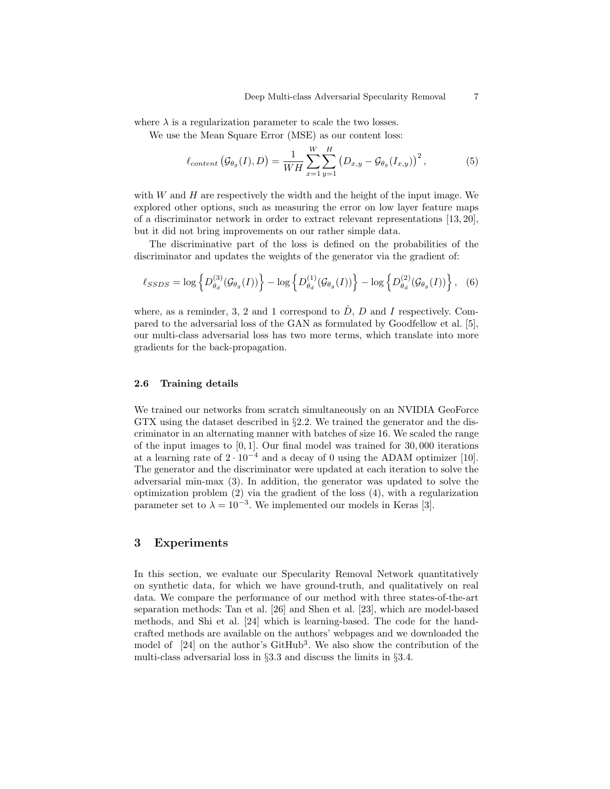where  $\lambda$  is a regularization parameter to scale the two losses.

We use the Mean Square Error (MSE) as our content loss:

$$
\ell_{content}\left(\mathcal{G}_{\theta_g}(I), D\right) = \frac{1}{WH} \sum_{x=1}^{W} \sum_{y=1}^{H} \left(D_{x,y} - \mathcal{G}_{\theta_g}(I_{x,y})\right)^2, \tag{5}
$$

with  $W$  and  $H$  are respectively the width and the height of the input image. We explored other options, such as measuring the error on low layer feature maps of a discriminator network in order to extract relevant representations [13, 20], but it did not bring improvements on our rather simple data.

The discriminative part of the loss is defined on the probabilities of the discriminator and updates the weights of the generator via the gradient of:

$$
\ell_{SSDS} = \log \left\{ D_{\theta_d}^{(3)}(\mathcal{G}_{\theta_g}(I)) \right\} - \log \left\{ D_{\theta_d}^{(1)}(\mathcal{G}_{\theta_g}(I)) \right\} - \log \left\{ D_{\theta_d}^{(2)}(\mathcal{G}_{\theta_g}(I)) \right\}, \quad (6)
$$

where, as a reminder, 3, 2 and 1 correspond to  $\hat{D}$ , D and I respectively. Compared to the adversarial loss of the GAN as formulated by Goodfellow et al. [5], our multi-class adversarial loss has two more terms, which translate into more gradients for the back-propagation.

#### 2.6 Training details

We trained our networks from scratch simultaneously on an NVIDIA GeoForce GTX using the dataset described in §2.2. We trained the generator and the discriminator in an alternating manner with batches of size 16. We scaled the range of the input images to [0, 1]. Our final model was trained for 30, 000 iterations at a learning rate of  $2 \cdot 10^{-4}$  and a decay of 0 using the ADAM optimizer [10]. The generator and the discriminator were updated at each iteration to solve the adversarial min-max (3). In addition, the generator was updated to solve the optimization problem (2) via the gradient of the loss (4), with a regularization parameter set to  $\lambda = 10^{-3}$ . We implemented our models in Keras [3].

## 3 Experiments

In this section, we evaluate our Specularity Removal Network quantitatively on synthetic data, for which we have ground-truth, and qualitatively on real data. We compare the performance of our method with three states-of-the-art separation methods: Tan et al. [26] and Shen et al. [23], which are model-based methods, and Shi et al. [24] which is learning-based. The code for the handcrafted methods are available on the authors' webpages and we downloaded the model of  $[24]$  on the author's GitHub<sup>3</sup>. We also show the contribution of the multi-class adversarial loss in §3.3 and discuss the limits in §3.4.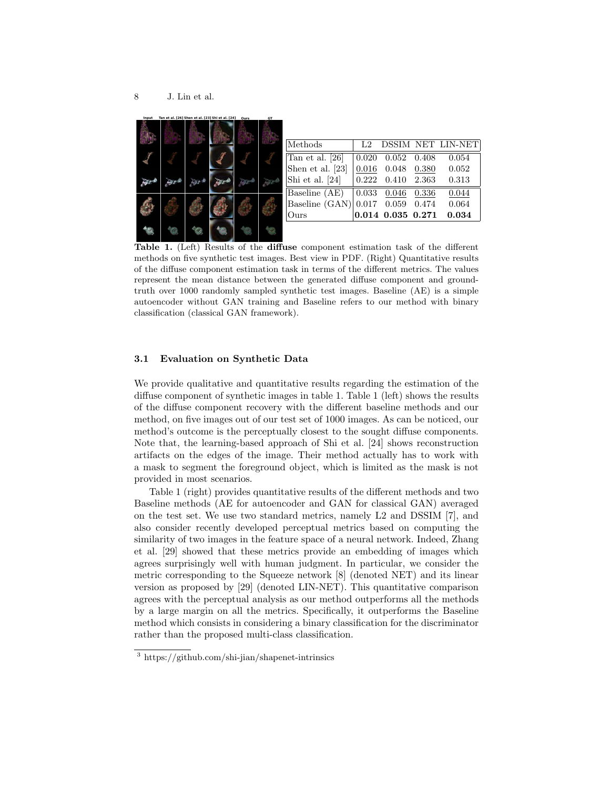

Table 1. (Left) Results of the diffuse component estimation task of the different methods on five synthetic test images. Best view in PDF. (Right) Quantitative results of the diffuse component estimation task in terms of the different metrics. The values represent the mean distance between the generated diffuse component and groundtruth over 1000 randomly sampled synthetic test images. Baseline (AE) is a simple autoencoder without GAN training and Baseline refers to our method with binary classification (classical GAN framework).

#### 3.1 Evaluation on Synthetic Data

We provide qualitative and quantitative results regarding the estimation of the diffuse component of synthetic images in table 1. Table 1 (left) shows the results of the diffuse component recovery with the different baseline methods and our method, on five images out of our test set of 1000 images. As can be noticed, our method's outcome is the perceptually closest to the sought diffuse components. Note that, the learning-based approach of Shi et al. [24] shows reconstruction artifacts on the edges of the image. Their method actually has to work with a mask to segment the foreground object, which is limited as the mask is not provided in most scenarios.

Table 1 (right) provides quantitative results of the different methods and two Baseline methods (AE for autoencoder and GAN for classical GAN) averaged on the test set. We use two standard metrics, namely L2 and DSSIM [7], and also consider recently developed perceptual metrics based on computing the similarity of two images in the feature space of a neural network. Indeed, Zhang et al. [29] showed that these metrics provide an embedding of images which agrees surprisingly well with human judgment. In particular, we consider the metric corresponding to the Squeeze network [8] (denoted NET) and its linear version as proposed by [29] (denoted LIN-NET). This quantitative comparison agrees with the perceptual analysis as our method outperforms all the methods by a large margin on all the metrics. Specifically, it outperforms the Baseline method which consists in considering a binary classification for the discriminator rather than the proposed multi-class classification.

 $3 \text{ https://github.com/shi-jian/shapenet-intrinsics}$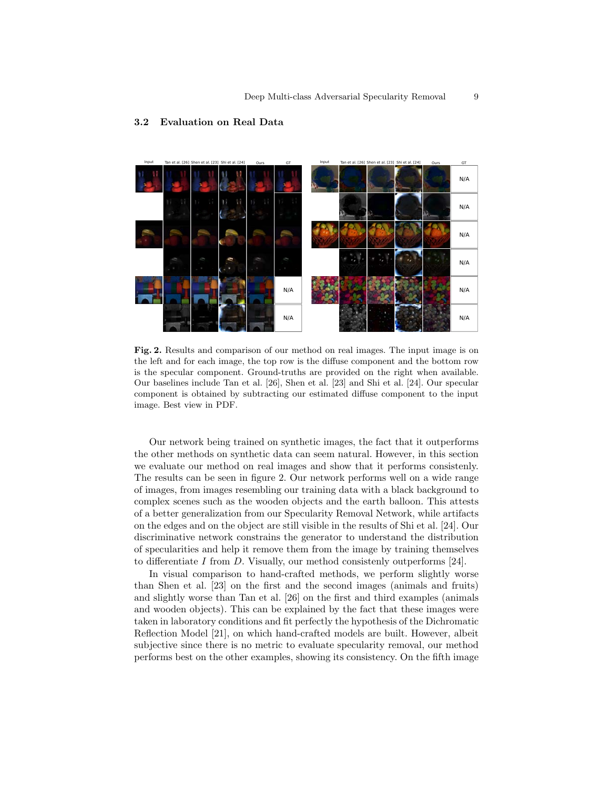### 3.2 Evaluation on Real Data



Fig. 2. Results and comparison of our method on real images. The input image is on the left and for each image, the top row is the diffuse component and the bottom row is the specular component. Ground-truths are provided on the right when available. Our baselines include Tan et al. [26], Shen et al. [23] and Shi et al. [24]. Our specular component is obtained by subtracting our estimated diffuse component to the input image. Best view in PDF.

Our network being trained on synthetic images, the fact that it outperforms the other methods on synthetic data can seem natural. However, in this section we evaluate our method on real images and show that it performs consistenly. The results can be seen in figure 2. Our network performs well on a wide range of images, from images resembling our training data with a black background to complex scenes such as the wooden objects and the earth balloon. This attests of a better generalization from our Specularity Removal Network, while artifacts on the edges and on the object are still visible in the results of Shi et al. [24]. Our discriminative network constrains the generator to understand the distribution of specularities and help it remove them from the image by training themselves to differentiate I from D. Visually, our method consistenly outperforms [24].

In visual comparison to hand-crafted methods, we perform slightly worse than Shen et al. [23] on the first and the second images (animals and fruits) and slightly worse than Tan et al. [26] on the first and third examples (animals and wooden objects). This can be explained by the fact that these images were taken in laboratory conditions and fit perfectly the hypothesis of the Dichromatic Reflection Model [21], on which hand-crafted models are built. However, albeit subjective since there is no metric to evaluate specularity removal, our method performs best on the other examples, showing its consistency. On the fifth image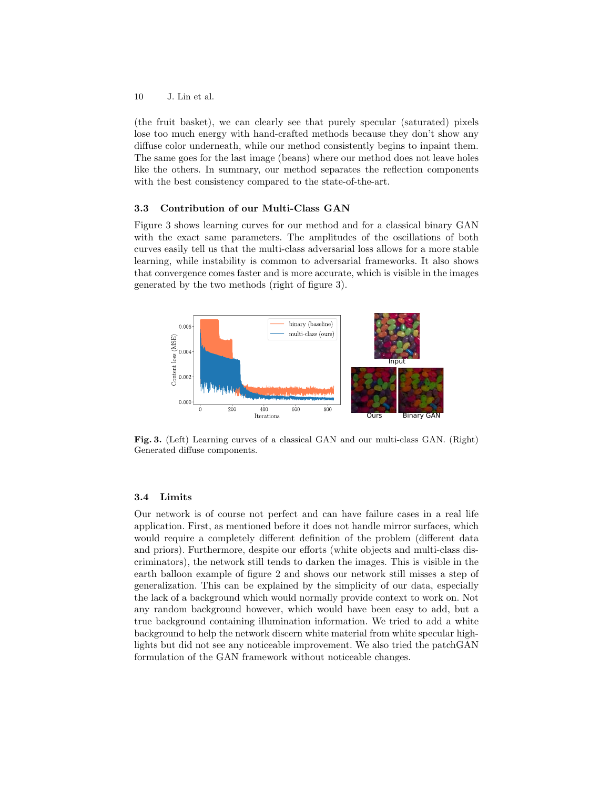10 J. Lin et al.

(the fruit basket), we can clearly see that purely specular (saturated) pixels lose too much energy with hand-crafted methods because they don't show any diffuse color underneath, while our method consistently begins to inpaint them. The same goes for the last image (beans) where our method does not leave holes like the others. In summary, our method separates the reflection components with the best consistency compared to the state-of-the-art.

## 3.3 Contribution of our Multi-Class GAN

Figure 3 shows learning curves for our method and for a classical binary GAN with the exact same parameters. The amplitudes of the oscillations of both curves easily tell us that the multi-class adversarial loss allows for a more stable learning, while instability is common to adversarial frameworks. It also shows that convergence comes faster and is more accurate, which is visible in the images generated by the two methods (right of figure 3).



Fig. 3. (Left) Learning curves of a classical GAN and our multi-class GAN. (Right) Generated diffuse components.

## 3.4 Limits

Our network is of course not perfect and can have failure cases in a real life application. First, as mentioned before it does not handle mirror surfaces, which would require a completely different definition of the problem (different data and priors). Furthermore, despite our efforts (white objects and multi-class discriminators), the network still tends to darken the images. This is visible in the earth balloon example of figure 2 and shows our network still misses a step of generalization. This can be explained by the simplicity of our data, especially the lack of a background which would normally provide context to work on. Not any random background however, which would have been easy to add, but a true background containing illumination information. We tried to add a white background to help the network discern white material from white specular highlights but did not see any noticeable improvement. We also tried the patchGAN formulation of the GAN framework without noticeable changes.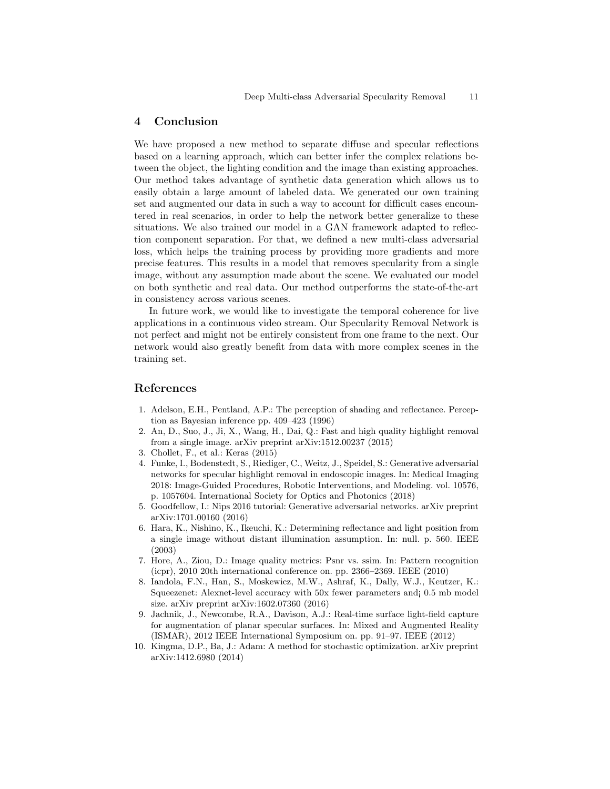## 4 Conclusion

We have proposed a new method to separate diffuse and specular reflections based on a learning approach, which can better infer the complex relations between the object, the lighting condition and the image than existing approaches. Our method takes advantage of synthetic data generation which allows us to easily obtain a large amount of labeled data. We generated our own training set and augmented our data in such a way to account for difficult cases encountered in real scenarios, in order to help the network better generalize to these situations. We also trained our model in a GAN framework adapted to reflection component separation. For that, we defined a new multi-class adversarial loss, which helps the training process by providing more gradients and more precise features. This results in a model that removes specularity from a single image, without any assumption made about the scene. We evaluated our model on both synthetic and real data. Our method outperforms the state-of-the-art in consistency across various scenes.

In future work, we would like to investigate the temporal coherence for live applications in a continuous video stream. Our Specularity Removal Network is not perfect and might not be entirely consistent from one frame to the next. Our network would also greatly benefit from data with more complex scenes in the training set.

# References

- 1. Adelson, E.H., Pentland, A.P.: The perception of shading and reflectance. Perception as Bayesian inference pp. 409–423 (1996)
- 2. An, D., Suo, J., Ji, X., Wang, H., Dai, Q.: Fast and high quality highlight removal from a single image. arXiv preprint arXiv:1512.00237 (2015)
- 3. Chollet, F., et al.: Keras (2015)
- 4. Funke, I., Bodenstedt, S., Riediger, C., Weitz, J., Speidel, S.: Generative adversarial networks for specular highlight removal in endoscopic images. In: Medical Imaging 2018: Image-Guided Procedures, Robotic Interventions, and Modeling. vol. 10576, p. 1057604. International Society for Optics and Photonics (2018)
- 5. Goodfellow, I.: Nips 2016 tutorial: Generative adversarial networks. arXiv preprint arXiv:1701.00160 (2016)
- 6. Hara, K., Nishino, K., Ikeuchi, K.: Determining reflectance and light position from a single image without distant illumination assumption. In: null. p. 560. IEEE (2003)
- 7. Hore, A., Ziou, D.: Image quality metrics: Psnr vs. ssim. In: Pattern recognition (icpr), 2010 20th international conference on. pp. 2366–2369. IEEE (2010)
- 8. Iandola, F.N., Han, S., Moskewicz, M.W., Ashraf, K., Dally, W.J., Keutzer, K.: Squeezenet: Alexnet-level accuracy with 50x fewer parameters and¡ 0.5 mb model size. arXiv preprint arXiv:1602.07360 (2016)
- 9. Jachnik, J., Newcombe, R.A., Davison, A.J.: Real-time surface light-field capture for augmentation of planar specular surfaces. In: Mixed and Augmented Reality (ISMAR), 2012 IEEE International Symposium on. pp. 91–97. IEEE (2012)
- 10. Kingma, D.P., Ba, J.: Adam: A method for stochastic optimization. arXiv preprint arXiv:1412.6980 (2014)